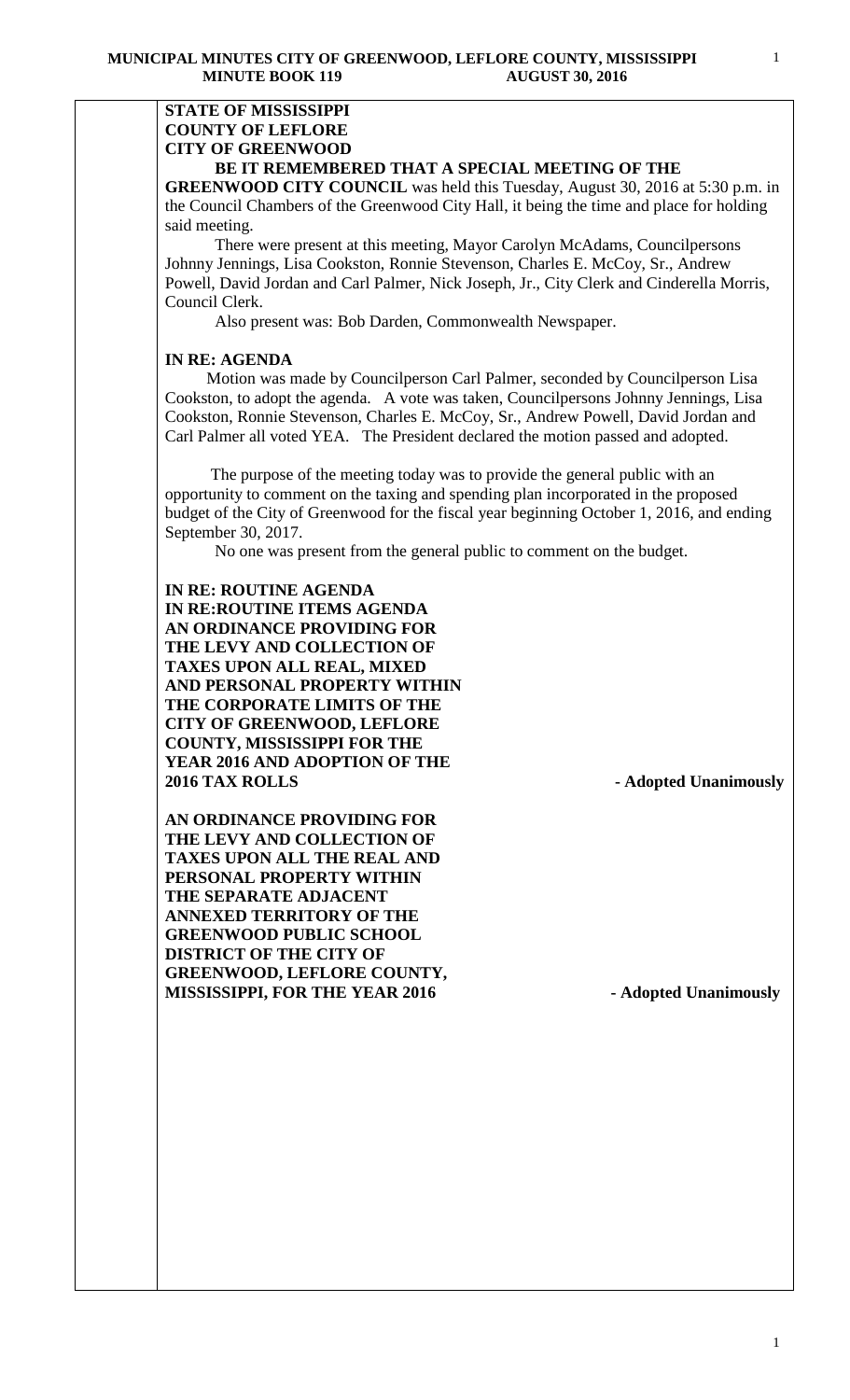### **STATE OF MISSISSIPPI COUNTY OF LEFLORE CITY OF GREENWOOD BE IT REMEMBERED THAT A SPECIAL MEETING OF THE**

**GREENWOOD CITY COUNCIL** was held this Tuesday, August 30, 2016 at 5:30 p.m. in the Council Chambers of the Greenwood City Hall, it being the time and place for holding said meeting.

There were present at this meeting, Mayor Carolyn McAdams, Councilpersons Johnny Jennings, Lisa Cookston, Ronnie Stevenson, Charles E. McCoy, Sr., Andrew Powell, David Jordan and Carl Palmer, Nick Joseph, Jr., City Clerk and Cinderella Morris, Council Clerk.

Also present was: Bob Darden, Commonwealth Newspaper.

### **IN RE: AGENDA**

 Motion was made by Councilperson Carl Palmer, seconded by Councilperson Lisa Cookston, to adopt the agenda. A vote was taken, Councilpersons Johnny Jennings, Lisa Cookston, Ronnie Stevenson, Charles E. McCoy, Sr., Andrew Powell, David Jordan and Carl Palmer all voted YEA. The President declared the motion passed and adopted.

 The purpose of the meeting today was to provide the general public with an opportunity to comment on the taxing and spending plan incorporated in the proposed budget of the City of Greenwood for the fiscal year beginning October 1, 2016, and ending September 30, 2017.

No one was present from the general public to comment on the budget.

**IN RE: ROUTINE AGENDA IN RE:ROUTINE ITEMS AGENDA AN ORDINANCE PROVIDING FOR THE LEVY AND COLLECTION OF TAXES UPON ALL REAL, MIXED AND PERSONAL PROPERTY WITHIN THE CORPORATE LIMITS OF THE CITY OF GREENWOOD, LEFLORE COUNTY, MISSISSIPPI FOR THE YEAR 2016 AND ADOPTION OF THE 2016 TAX ROLLS - Adopted Unanimously**

**AN ORDINANCE PROVIDING FOR THE LEVY AND COLLECTION OF TAXES UPON ALL THE REAL AND PERSONAL PROPERTY WITHIN THE SEPARATE ADJACENT ANNEXED TERRITORY OF THE GREENWOOD PUBLIC SCHOOL DISTRICT OF THE CITY OF GREENWOOD, LEFLORE COUNTY, MISSISSIPPI, FOR THE YEAR 2016 - Adopted Unanimously**